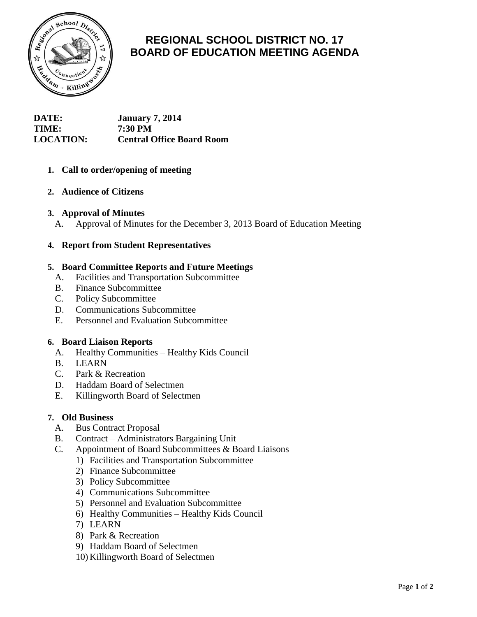

# **REGIONAL SCHOOL DISTRICT NO. 17 BOARD OF EDUCATION MEETING AGENDA**

**DATE: January 7, 2014 TIME: 7:30 PM LOCATION: Central Office Board Room**

# **1. Call to order/opening of meeting**

# **2. Audience of Citizens**

# **3. Approval of Minutes**

A. Approval of Minutes for the December 3, 2013 Board of Education Meeting

# **4. Report from Student Representatives**

## **5. Board Committee Reports and Future Meetings**

- A. Facilities and Transportation Subcommittee
- B. Finance Subcommittee
- C. Policy Subcommittee
- D. Communications Subcommittee
- E. Personnel and Evaluation Subcommittee

### **6. Board Liaison Reports**

- A. Healthy Communities Healthy Kids Council
- B. LEARN
- C. Park & Recreation
- D. Haddam Board of Selectmen
- E. Killingworth Board of Selectmen

# **7. Old Business**

- A. Bus Contract Proposal
- B. Contract Administrators Bargaining Unit
- C. Appointment of Board Subcommittees & Board Liaisons
	- 1) Facilities and Transportation Subcommittee
	- 2) Finance Subcommittee
	- 3) Policy Subcommittee
	- 4) Communications Subcommittee
	- 5) Personnel and Evaluation Subcommittee
	- 6) Healthy Communities Healthy Kids Council
	- 7) LEARN
	- 8) Park & Recreation
	- 9) Haddam Board of Selectmen
	- 10) Killingworth Board of Selectmen